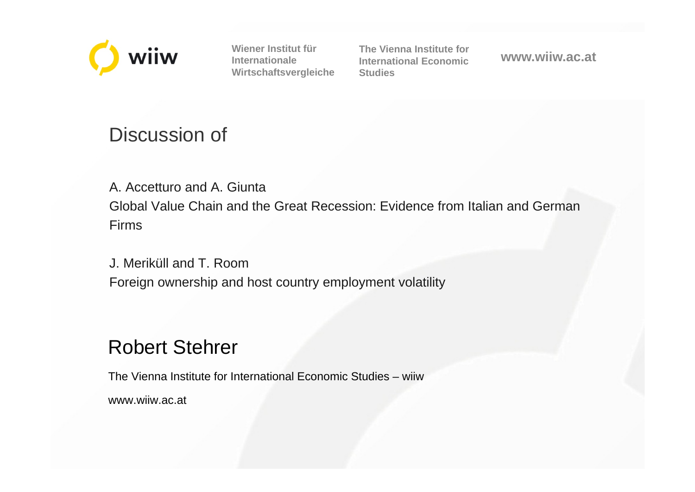

**Wiener Institut für Internationale Wirtschaftsvergleiche** **The Vienna Institute forInternational EconomicStudies**

**www.wiiw.ac.at**

# Discussion of

A. Accetturo and A. GiuntaGlobal Value Chain and the Great Recession: Evidence from Italian and German Firms

J. Meriküll and T. RoomForeign ownership and host country employment volatility

## Robert Stehrer

The Vienna Institute for International Economic Studies – wiiw

www.wiiw.ac.at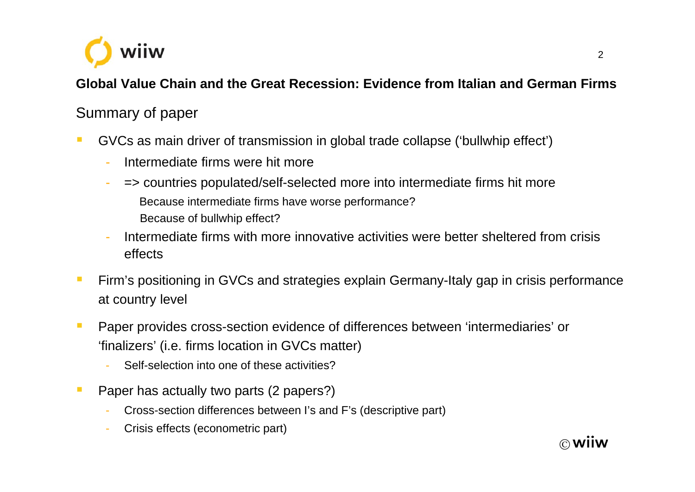

### **Global Value Chain and the Great Recession: Evidence from Italian and German Firms**

## Summary of paper

- $\blacksquare$  GVCs as main driver of transmission in global trade collapse ('bullwhip effect')
	- -Intermediate firms were hit more
	- => countries populated/self-selected more into intermediate firms hit more Because intermediate firms have worse performance? Because of bullwhip effect?
	- Intermediate firms with more innovative activities were better sheltered from crisis effects
- $\overline{\phantom{a}}$  Firm's positioning in GVCs and strategies explain Germany-Italy gap in crisis performance at country level
- $\mathcal{L}_{\mathcal{A}}$  Paper provides cross-section evidence of differences between 'intermediaries' or 'finalizers' (i.e. firms location in GVCs matter)
	- Self-selection into one of these activities?
- $\mathcal{L}_{\mathcal{A}}$  Paper has actually two parts (2 papers?)
	- Cross-section differences between I's and F's (descriptive part)
	- Crisis effects (econometric part)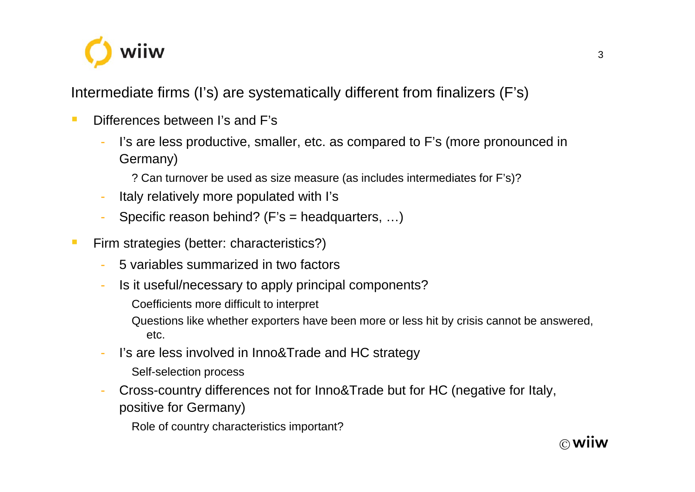

Intermediate firms (I's) are systematically different from finalizers (F's)

- $\mathcal{L}_{\mathcal{A}}$  Differences between I's and F's
	- I's are less productive, smaller, etc. as compared to F's (more pronounced in Germany)
		- ? Can turnover be used as size measure (as includes intermediates for F's)?
	- Italy relatively more populated with I's
	- Specific reason behind? (F's = headquarters, …)
- $\mathcal{L}_{\mathcal{A}}$  Firm strategies (better: characteristics?)
	- 5 variables summarized in two factors
	- Is it useful/necessary to apply principal components?
		- Coefficients more difficult to interpret
		- Questions like whether exporters have been more or less hit by crisis cannot be answered, etc.
	- I's are less involved in Inno&Trade and HC strategy
		- Self-selection process
	- Cross-country differences not for Inno&Trade but for HC (negative for Italy, positive for Germany)
		- Role of country characteristics important?

3

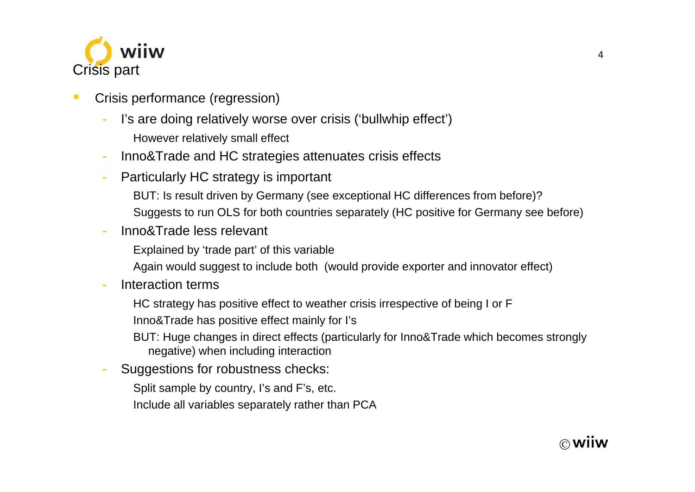

- Crisis performance (regression)
	- I's are doing relatively worse over crisis ('bullwhip effect') However relatively small effect
	- Inno&Trade and HC strategies attenuates crisis effects
	- Particularly HC strategy is important
		- BUT: Is result driven by Germany (see exceptional HC differences from before)?
		- Suggests to run OLS for both countries separately (HC positive for Germany see before)
	- Inno&Trade less relevant
		- Explained by 'trade part' of this variable
		- Again would suggest to include both (would provide exporter and innovator effect)
	- Interaction terms
		- HC strategy has positive effect to weather crisis irrespective of being I or F
		- Inno&Trade has positive effect mainly for I's
		- BUT: Huge changes in direct effects (particularly for Inno&Trade which becomes strongly negative) when including interaction
	- Suggestions for robustness checks:
		- Split sample by country, I's and F's, etc.
		- Include all variables separately rather than PCA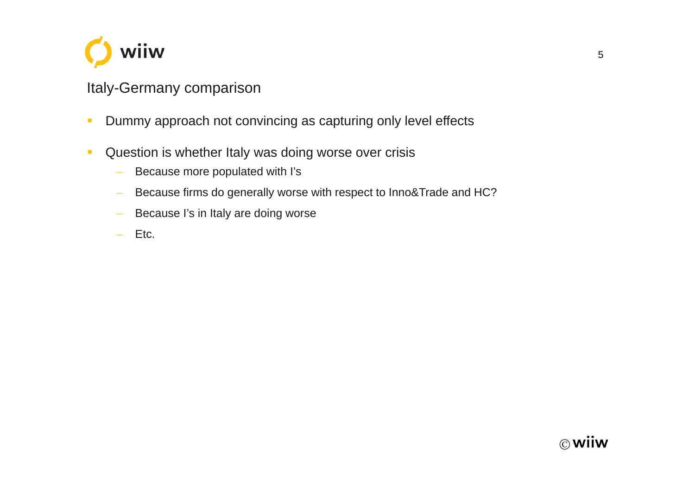

## Italy-Germany comparison

- $\mathbf{r}$ Dummy approach not convincing as capturing only level effects
- $\mathcal{L}$  Question is whether Italy was doing worse over crisis
	- $\overline{\phantom{a}}$ Because more populated with I's
	- $\overline{\phantom{a}}$ Because firms do generally worse with respect to Inno&Trade and HC?
	- $\overline{\phantom{a}}$ Because I's in Italy are doing worse
	- $\equiv$ Etc.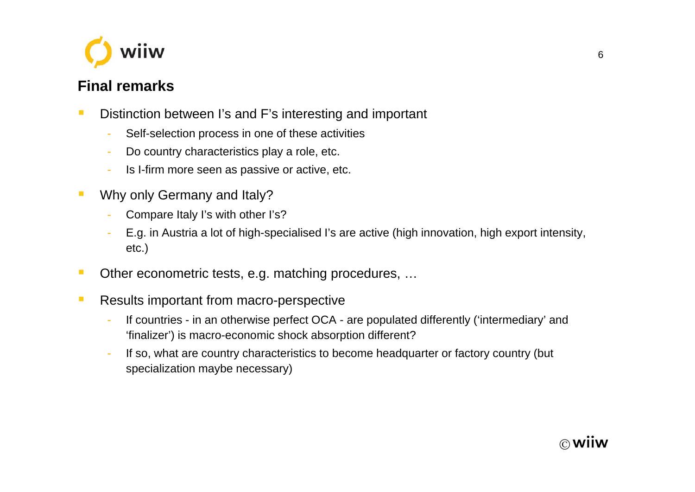

#### **Final remarks**

- $\overline{\mathbb{R}}$  Distinction between I's and F's interesting and important
	- -Self-selection process in one of these activities
	- -Do country characteristics play a role, etc.
	- -Is I-firm more seen as passive or active, etc.
- $\overline{\phantom{a}}$  Why only Germany and Italy?
	- -Compare Italy I's with other I's?
	- - E.g. in Austria a lot of high-specialised I's are active (high innovation, high export intensity, etc.)
- $\mathcal{L}_{\mathcal{A}}$ Other econometric tests, e.g. matching procedures, …
- $\blacksquare$  Results important from macro-perspective
	- - If countries - in an otherwise perfect OCA - are populated differently ('intermediary' and 'finalizer') is macro-economic shock absorption different?
	- - If so, what are country characteristics to become headquarter or factory country (but specialization maybe necessary)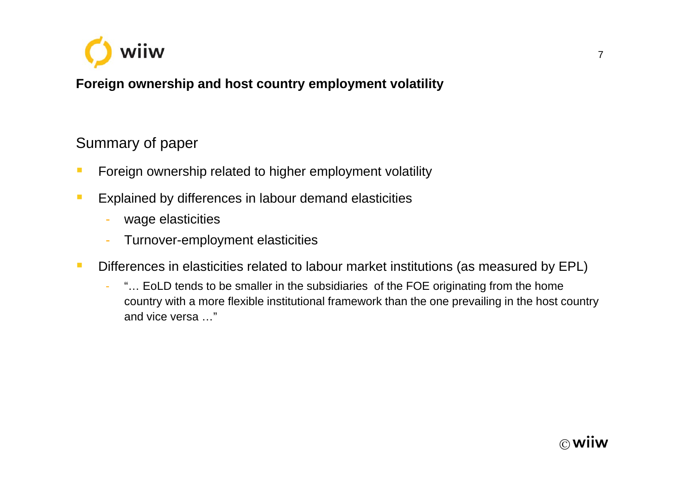

**Foreign ownership and host country employment volatility**

### Summary of paper

- $\blacksquare$ Foreign ownership related to higher employment volatility
- $\mathcal{L}_{\mathcal{A}}$  Explained by differences in labour demand elasticities
	- wage elasticities
	- -Turnover-employment elasticities
- $\mathbb{R}^3$  Differences in elasticities related to labour market institutions (as measured by EPL)
	- - "… EoLD tends to be smaller in the subsidiaries of the FOE originating from the home country with a more flexible institutional framework than the one prevailing in the host country and vice versa …"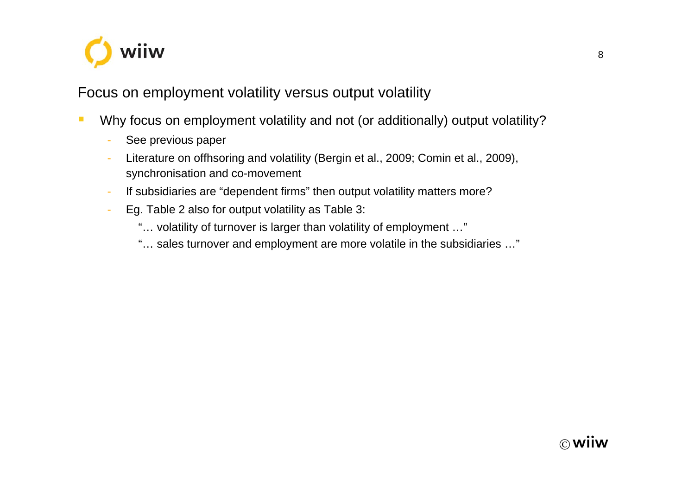

#### Focus on employment volatility versus output volatility

- $\mathcal{L}_{\mathcal{A}}$  Why focus on employment volatility and not (or additionally) output volatility?
	- -See previous paper
	- - Literature on offhsoring and volatility (Bergin et al., 2009; Comin et al., 2009), synchronisation and co-movement
	- -If subsidiaries are "dependent firms" then output volatility matters more?
	- - Eg. Table 2 also for output volatility as Table 3:
		- "… volatility of turnover is larger than volatility of employment …"
		- "… sales turnover and employment are more volatile in the subsidiaries …"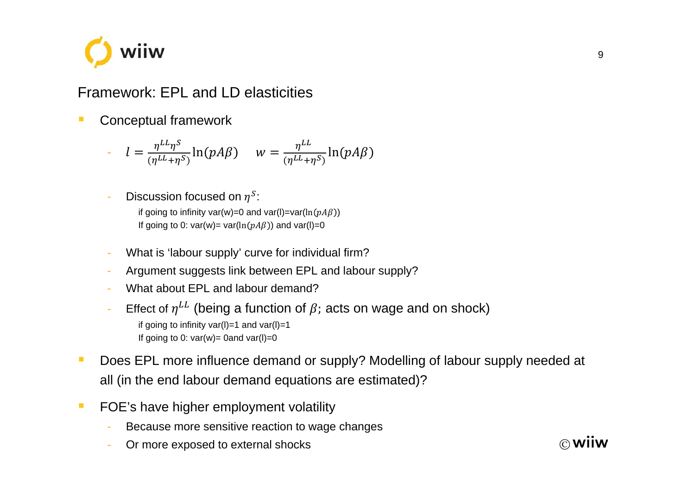

## Framework: EPL and LD elasticities

 $\overline{\phantom{a}}$ Conceptual framework

$$
l = \frac{\eta^{LL}\eta^{S}}{(\eta^{LL}+\eta^{S})}\ln(pA\beta) \quad w = \frac{\eta^{LL}}{(\eta^{LL}+\eta^{S})}\ln(pA\beta)
$$

-- Discussion focused on  $\eta^S$ :

> if going to infinity var(w)=0 and var(l)=var(ln( $pA\beta$ )) If going to 0: var(w)= var(ln( $pA\beta$ )) and var(l)=0

- -What is 'labour supply' curve for individual firm?
- -Argument suggests link between EPL and labour supply?
- What about EPL and labour demand?
- -- Effect of  $\eta^{LL}$  (being a function of  $\beta$ ; acts on wage and on shock) if going to infinity var(I)=1 and var(I)=1 If going to 0:  $var(w) = 0$  and  $var(l)=0$
- $\mathbb{R}^n$  Does EPL more influence demand or supply? Modelling of labour supply needed at all (in the end labour demand equations are estimated)?
- $\overline{\phantom{a}}$  FOE's have higher employment volatility
	- -Because more sensitive reaction to wage changes
	- -Or more exposed to external shocks

∩ **wiiw**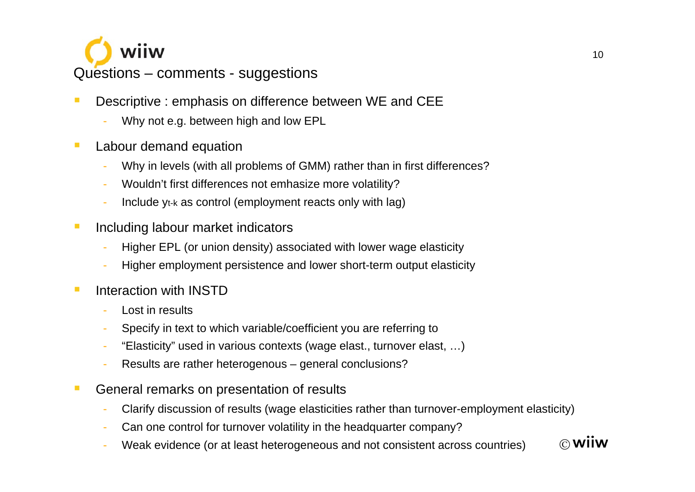

- $\overline{\mathbb{R}^n}$  Descriptive : emphasis on difference between WE and CEE
	- Why not e.g. between high and low EPL
- $\mathbb{R}^n$  Labour demand equation
	- Why in levels (with all problems of GMM) rather than in first differences?
	- Wouldn't first differences not emhasize more volatility?
	- Include yt-k as control (employment reacts only with lag)
- $\blacksquare$  Including labour market indicators
	- Higher EPL (or union density) associated with lower wage elasticity
	- Higher employment persistence and lower short-term output elasticity
- $\overline{\phantom{a}}$  Interaction with INSTD
	- Lost in results
	- Specify in text to which variable/coefficient you are referring to
	- "Elasticity" used in various contexts (wage elast., turnover elast, …)
	- Results are rather heterogenous general conclusions?
- $\blacksquare$  General remarks on presentation of results
	- Clarify discussion of results (wage elasticities rather than turnover-employment elasticity)
	- Can one control for turnover volatility in the headquarter company?
	- Weak evidence (or at least heterogeneous and not consistent across countries)

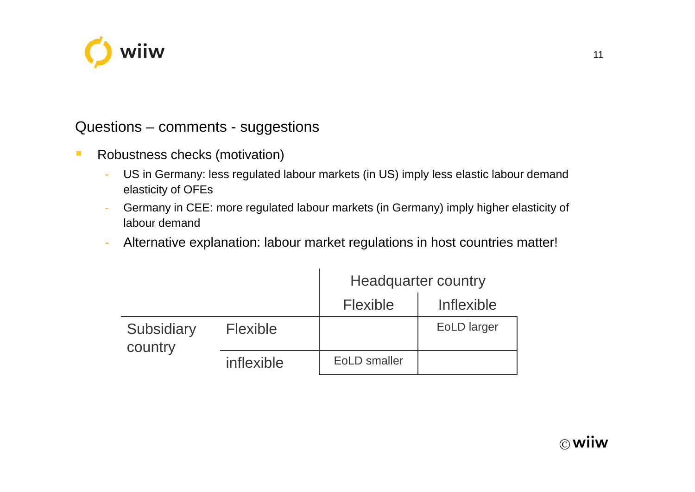

#### Questions – comments - suggestions

- $\mathbb{R}^3$  Robustness checks (motivation)
	- - US in Germany: less regulated labour markets (in US) imply less elastic labour demand elasticity of OFEs
	- - Germany in CEE: more regulated labour markets (in Germany) imply higher elasticity of labour demand
	- -Alternative explanation: labour market regulations in host countries matter!

|                       |                 | <b>Headquarter country</b> |             |
|-----------------------|-----------------|----------------------------|-------------|
|                       |                 | <b>Flexible</b>            | Inflexible  |
| Subsidiary<br>country | <b>Flexible</b> |                            | EoLD larger |
|                       | inflexible      | <b>EoLD</b> smaller        |             |